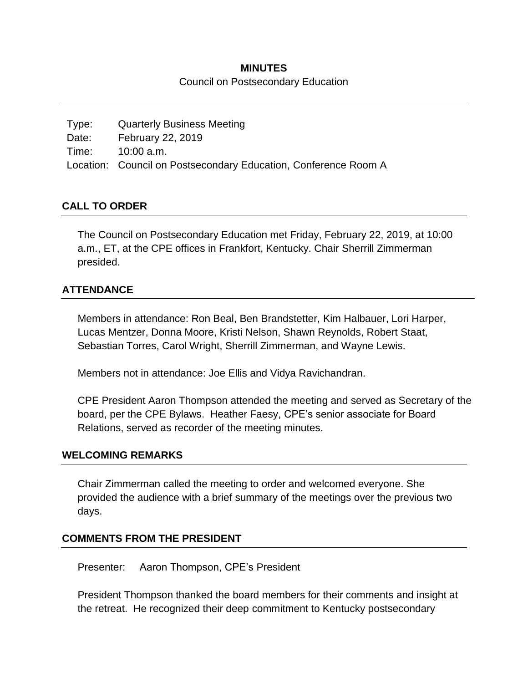#### **MINUTES**

Council on Postsecondary Education

Type: Quarterly Business Meeting Date: February 22, 2019 Time: 10:00 a.m. Location: Council on Postsecondary Education, Conference Room A

## **CALL TO ORDER**

The Council on Postsecondary Education met Friday, February 22, 2019, at 10:00 a.m., ET, at the CPE offices in Frankfort, Kentucky. Chair Sherrill Zimmerman presided.

#### **ATTENDANCE**

Members in attendance: Ron Beal, Ben Brandstetter, Kim Halbauer, Lori Harper, Lucas Mentzer, Donna Moore, Kristi Nelson, Shawn Reynolds, Robert Staat, Sebastian Torres, Carol Wright, Sherrill Zimmerman, and Wayne Lewis.

Members not in attendance: Joe Ellis and Vidya Ravichandran.

CPE President Aaron Thompson attended the meeting and served as Secretary of the board, per the CPE Bylaws. Heather Faesy, CPE's senior associate for Board Relations, served as recorder of the meeting minutes.

#### **WELCOMING REMARKS**

Chair Zimmerman called the meeting to order and welcomed everyone. She provided the audience with a brief summary of the meetings over the previous two days.

#### **COMMENTS FROM THE PRESIDENT**

Presenter: Aaron Thompson, CPE's President

President Thompson thanked the board members for their comments and insight at the retreat. He recognized their deep commitment to Kentucky postsecondary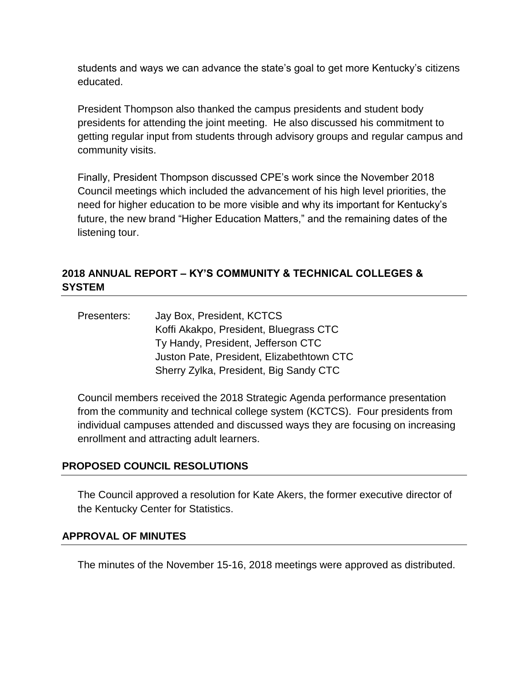students and ways we can advance the state's goal to get more Kentucky's citizens educated.

President Thompson also thanked the campus presidents and student body presidents for attending the joint meeting. He also discussed his commitment to getting regular input from students through advisory groups and regular campus and community visits.

Finally, President Thompson discussed CPE's work since the November 2018 Council meetings which included the advancement of his high level priorities, the need for higher education to be more visible and why its important for Kentucky's future, the new brand "Higher Education Matters," and the remaining dates of the listening tour.

## **2018 ANNUAL REPORT – KY'S COMMUNITY & TECHNICAL COLLEGES & SYSTEM**

| Presenters: | Jay Box, President, KCTCS                 |
|-------------|-------------------------------------------|
|             | Koffi Akakpo, President, Bluegrass CTC    |
|             | Ty Handy, President, Jefferson CTC        |
|             | Juston Pate, President, Elizabethtown CTC |
|             | Sherry Zylka, President, Big Sandy CTC    |

Council members received the 2018 Strategic Agenda performance presentation from the community and technical college system (KCTCS). Four presidents from individual campuses attended and discussed ways they are focusing on increasing enrollment and attracting adult learners.

## **PROPOSED COUNCIL RESOLUTIONS**

The Council approved a resolution for Kate Akers, the former executive director of the Kentucky Center for Statistics.

#### **APPROVAL OF MINUTES**

The minutes of the November 15-16, 2018 meetings were approved as distributed.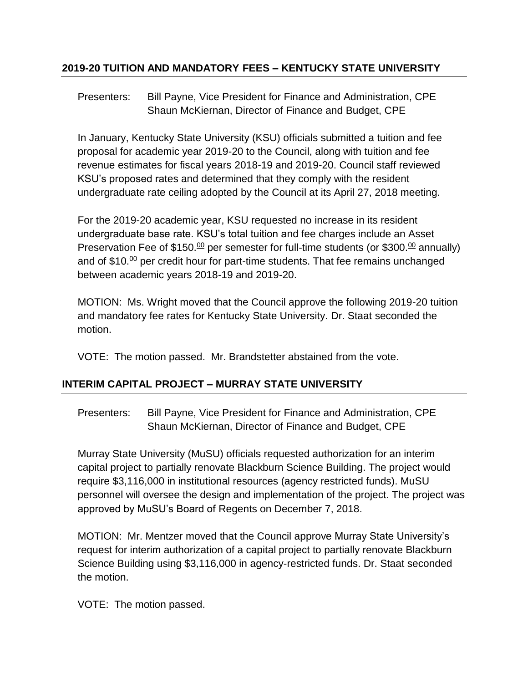## **2019-20 TUITION AND MANDATORY FEES – KENTUCKY STATE UNIVERSITY**

Presenters: Bill Payne, Vice President for Finance and Administration, CPE Shaun McKiernan, Director of Finance and Budget, CPE

In January, Kentucky State University (KSU) officials submitted a tuition and fee proposal for academic year 2019-20 to the Council, along with tuition and fee revenue estimates for fiscal years 2018-19 and 2019-20. Council staff reviewed KSU's proposed rates and determined that they comply with the resident undergraduate rate ceiling adopted by the Council at its April 27, 2018 meeting.

For the 2019-20 academic year, KSU requested no increase in its resident undergraduate base rate. KSU's total tuition and fee charges include an Asset Preservation Fee of \$150.<sup>00</sup> per semester for full-time students (or \$300.<sup>00</sup> annually) and of \$10. $\frac{00}{2}$  per credit hour for part-time students. That fee remains unchanged between academic years 2018-19 and 2019-20.

MOTION: Ms. Wright moved that the Council approve the following 2019-20 tuition and mandatory fee rates for Kentucky State University. Dr. Staat seconded the motion.

VOTE: The motion passed. Mr. Brandstetter abstained from the vote.

# **INTERIM CAPITAL PROJECT – MURRAY STATE UNIVERSITY**

Presenters: Bill Payne, Vice President for Finance and Administration, CPE Shaun McKiernan, Director of Finance and Budget, CPE

Murray State University (MuSU) officials requested authorization for an interim capital project to partially renovate Blackburn Science Building. The project would require \$3,116,000 in institutional resources (agency restricted funds). MuSU personnel will oversee the design and implementation of the project. The project was approved by MuSU's Board of Regents on December 7, 2018.

MOTION: Mr. Mentzer moved that the Council approve Murray State University's request for interim authorization of a capital project to partially renovate Blackburn Science Building using \$3,116,000 in agency-restricted funds. Dr. Staat seconded the motion.

VOTE: The motion passed.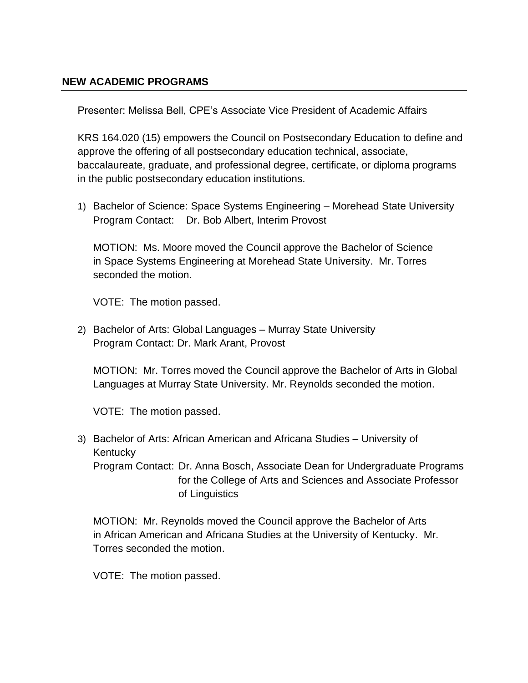## **NEW ACADEMIC PROGRAMS**

Presenter: Melissa Bell, CPE's Associate Vice President of Academic Affairs

KRS 164.020 (15) empowers the Council on Postsecondary Education to define and approve the offering of all postsecondary education technical, associate, baccalaureate, graduate, and professional degree, certificate, or diploma programs in the public postsecondary education institutions.

1) Bachelor of Science: Space Systems Engineering – Morehead State University Program Contact: Dr. Bob Albert, Interim Provost

MOTION: Ms. Moore moved the Council approve the Bachelor of Science in Space Systems Engineering at Morehead State University. Mr. Torres seconded the motion.

VOTE: The motion passed.

2) Bachelor of Arts: Global Languages – Murray State University Program Contact: Dr. Mark Arant, Provost

MOTION: Mr. Torres moved the Council approve the Bachelor of Arts in Global Languages at Murray State University. Mr. Reynolds seconded the motion.

VOTE: The motion passed.

3) Bachelor of Arts: African American and Africana Studies – University of **Kentucky** Program Contact: Dr. Anna Bosch, Associate Dean for Undergraduate Programs for the College of Arts and Sciences and Associate Professor of Linguistics

MOTION: Mr. Reynolds moved the Council approve the Bachelor of Arts in African American and Africana Studies at the University of Kentucky. Mr. Torres seconded the motion.

VOTE: The motion passed.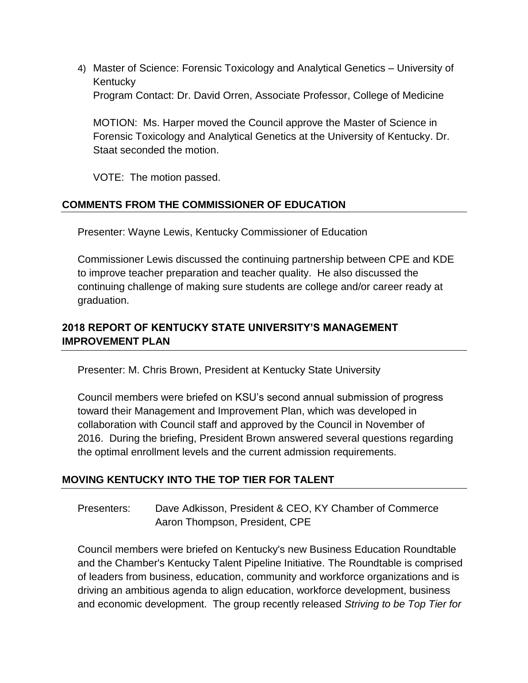4) Master of Science: Forensic Toxicology and Analytical Genetics – University of **Kentucky** Program Contact: Dr. David Orren, Associate Professor, College of Medicine

MOTION: Ms. Harper moved the Council approve the Master of Science in Forensic Toxicology and Analytical Genetics at the University of Kentucky. Dr. Staat seconded the motion.

VOTE: The motion passed.

## **COMMENTS FROM THE COMMISSIONER OF EDUCATION**

Presenter: Wayne Lewis, Kentucky Commissioner of Education

Commissioner Lewis discussed the continuing partnership between CPE and KDE to improve teacher preparation and teacher quality. He also discussed the continuing challenge of making sure students are college and/or career ready at graduation.

## **2018 REPORT OF KENTUCKY STATE UNIVERSITY'S MANAGEMENT IMPROVEMENT PLAN**

Presenter: M. Chris Brown, President at Kentucky State University

Council members were briefed on KSU's second annual submission of progress toward their Management and Improvement Plan, which was developed in collaboration with Council staff and approved by the Council in November of 2016. During the briefing, President Brown answered several questions regarding the optimal enrollment levels and the current admission requirements.

## **MOVING KENTUCKY INTO THE TOP TIER FOR TALENT**

Presenters: Dave Adkisson, President & CEO, KY Chamber of Commerce Aaron Thompson, President, CPE

Council members were briefed on Kentucky's new Business Education Roundtable and the Chamber's Kentucky Talent Pipeline Initiative. The Roundtable is comprised of leaders from business, education, community and workforce organizations and is driving an ambitious agenda to align education, workforce development, business and economic development. The group recently released *Striving to be Top Tier for*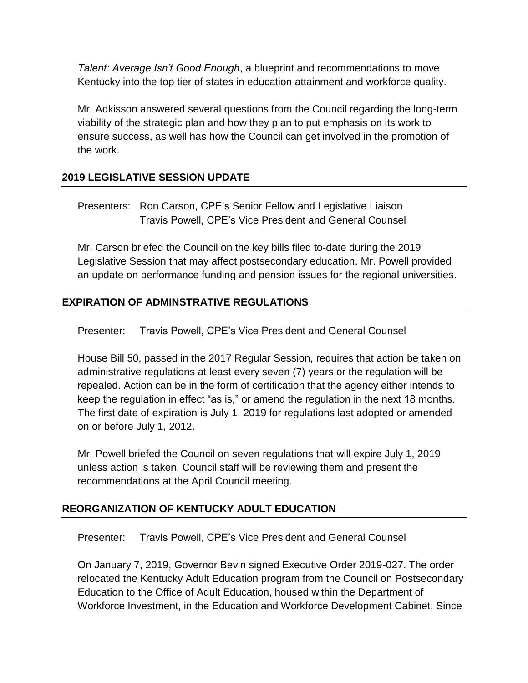*Talent: Average Isn't Good Enough*, a blueprint and recommendations to move Kentucky into the top tier of states in education attainment and workforce quality.

Mr. Adkisson answered several questions from the Council regarding the long-term viability of the strategic plan and how they plan to put emphasis on its work to ensure success, as well has how the Council can get involved in the promotion of the work.

# **2019 LEGISLATIVE SESSION UPDATE**

Presenters: Ron Carson, CPE's Senior Fellow and Legislative Liaison Travis Powell, CPE's Vice President and General Counsel

Mr. Carson briefed the Council on the key bills filed to-date during the 2019 Legislative Session that may affect postsecondary education. Mr. Powell provided an update on performance funding and pension issues for the regional universities.

# **EXPIRATION OF ADMINSTRATIVE REGULATIONS**

Presenter: Travis Powell, CPE's Vice President and General Counsel

House Bill 50, passed in the 2017 Regular Session, requires that action be taken on administrative regulations at least every seven (7) years or the regulation will be repealed. Action can be in the form of certification that the agency either intends to keep the regulation in effect "as is," or amend the regulation in the next 18 months. The first date of expiration is July 1, 2019 for regulations last adopted or amended on or before July 1, 2012.

Mr. Powell briefed the Council on seven regulations that will expire July 1, 2019 unless action is taken. Council staff will be reviewing them and present the recommendations at the April Council meeting.

## **REORGANIZATION OF KENTUCKY ADULT EDUCATION**

Presenter: Travis Powell, CPE's Vice President and General Counsel

On January 7, 2019, Governor Bevin signed Executive Order 2019-027. The order relocated the Kentucky Adult Education program from the Council on Postsecondary Education to the Office of Adult Education, housed within the Department of Workforce Investment, in the Education and Workforce Development Cabinet. Since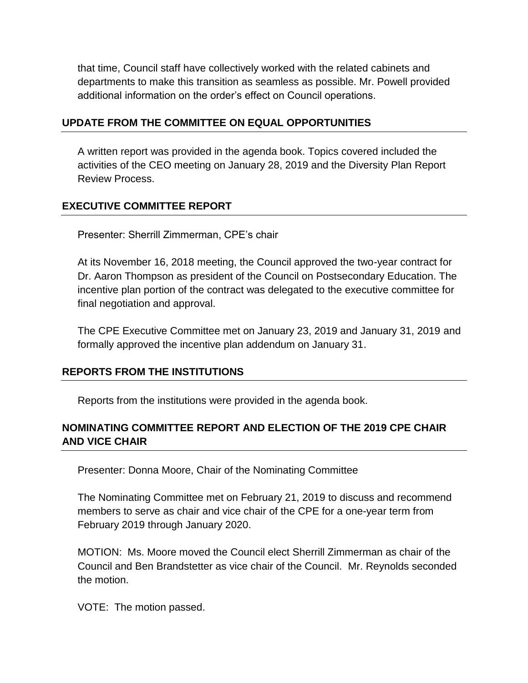that time, Council staff have collectively worked with the related cabinets and departments to make this transition as seamless as possible. Mr. Powell provided additional information on the order's effect on Council operations.

### **UPDATE FROM THE COMMITTEE ON EQUAL OPPORTUNITIES**

A written report was provided in the agenda book. Topics covered included the activities of the CEO meeting on January 28, 2019 and the Diversity Plan Report Review Process.

## **EXECUTIVE COMMITTEE REPORT**

Presenter: Sherrill Zimmerman, CPE's chair

At its November 16, 2018 meeting, the Council approved the two-year contract for Dr. Aaron Thompson as president of the Council on Postsecondary Education. The incentive plan portion of the contract was delegated to the executive committee for final negotiation and approval.

The CPE Executive Committee met on January 23, 2019 and January 31, 2019 and formally approved the incentive plan addendum on January 31.

## **REPORTS FROM THE INSTITUTIONS**

Reports from the institutions were provided in the agenda book.

## **NOMINATING COMMITTEE REPORT AND ELECTION OF THE 2019 CPE CHAIR AND VICE CHAIR**

Presenter: Donna Moore, Chair of the Nominating Committee

The Nominating Committee met on February 21, 2019 to discuss and recommend members to serve as chair and vice chair of the CPE for a one-year term from February 2019 through January 2020.

MOTION: Ms. Moore moved the Council elect Sherrill Zimmerman as chair of the Council and Ben Brandstetter as vice chair of the Council. Mr. Reynolds seconded the motion.

VOTE: The motion passed.